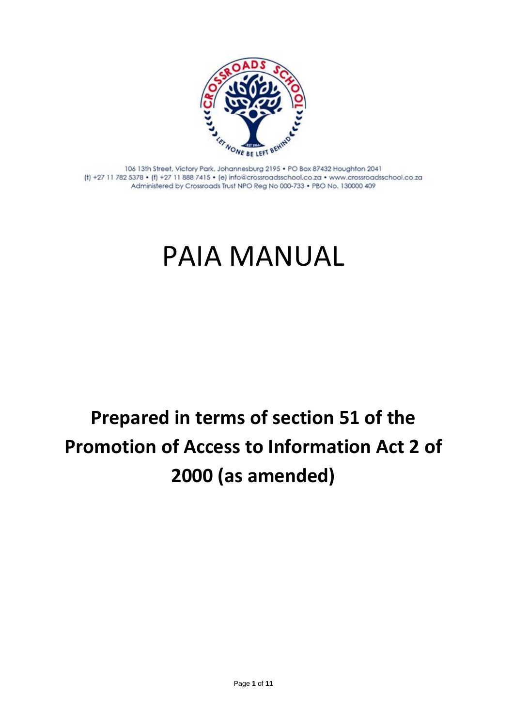

106 13th Street, Victory Park, Johannesburg 2195 . PO Box 87432 Houghton 2041 (f) +27 11 782 5378 • (f) +27 11 888 7415 • (e) info@crossroadsschool.co.za • www.crossroadsschool.co.za Administered by Crossroads Trust NPO Reg No 000-733 . PBO No. 130000 409

# PAIA MANUAL

## **Prepared in terms of section 51 of the Promotion of Access to Information Act 2 of 2000 (as amended)**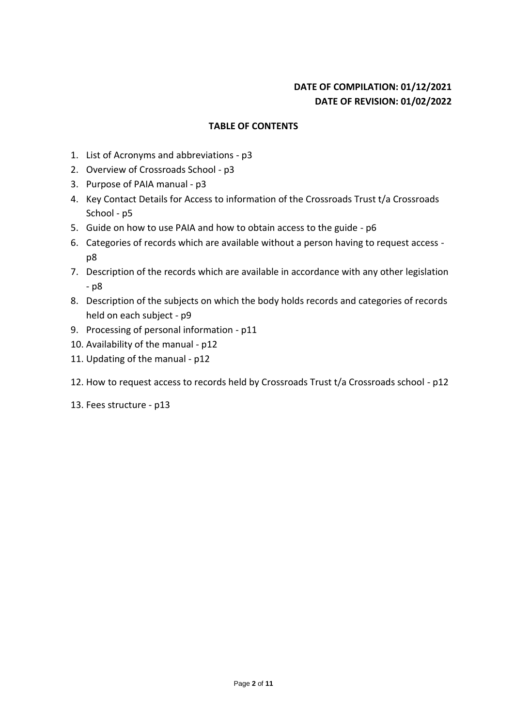## **DATE OF COMPILATION: 01/12/2021 DATE OF REVISION: 01/02/2022**

#### **TABLE OF CONTENTS**

- 1. List of Acronyms and abbreviations p3
- 2. Overview of Crossroads School p3
- 3. Purpose of PAIA manual p3
- 4. Key Contact Details for Access to information of the Crossroads Trust t/a Crossroads School - p5
- 5. Guide on how to use PAIA and how to obtain access to the guide p6
- 6. Categories of records which are available without a person having to request access p8
- 7. Description of the records which are available in accordance with any other legislation - p8
- 8. Description of the subjects on which the body holds records and categories of records held on each subject - p9
- 9. Processing of personal information p11
- 10. Availability of the manual p12
- 11. Updating of the manual p12
- 12. How to request access to records held by Crossroads Trust t/a Crossroads school p12
- 13. Fees structure p13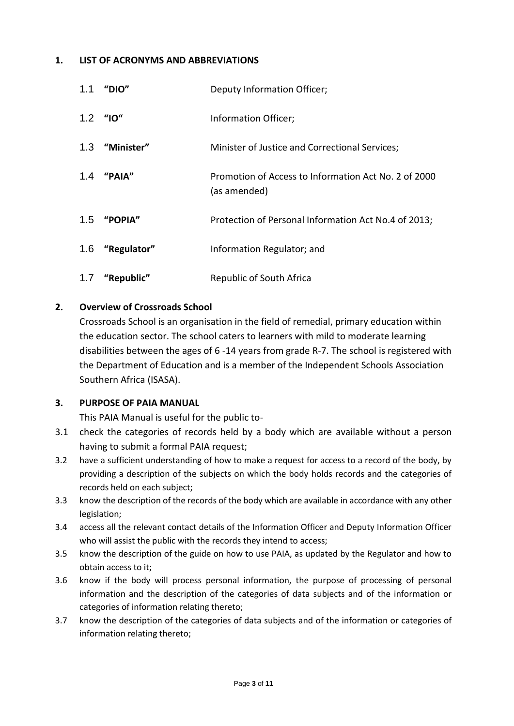#### **1. LIST OF ACRONYMS AND ABBREVIATIONS**

| 1.1 | "DIO"           | Deputy Information Officer;                                          |
|-----|-----------------|----------------------------------------------------------------------|
|     | $1.2$ "10"      | Information Officer;                                                 |
|     | 1.3 "Minister"  | Minister of Justice and Correctional Services;                       |
|     | 1.4 "PAIA"      | Promotion of Access to Information Act No. 2 of 2000<br>(as amended) |
|     | 1.5 "POPIA"     | Protection of Personal Information Act No.4 of 2013;                 |
|     | 1.6 "Regulator" | Information Regulator; and                                           |
|     | 1.7 "Republic"  | Republic of South Africa                                             |

#### **2. Overview of Crossroads School**

Crossroads School is an organisation in the field of remedial, primary education within the education sector. The school caters to learners with mild to moderate learning disabilities between the ages of 6 -14 years from grade R-7. The school is registered with the Department of Education and is a member of the Independent Schools Association Southern Africa (ISASA).

#### **3. PURPOSE OF PAIA MANUAL**

This PAIA Manual is useful for the public to-

- 3.1 check the categories of records held by a body which are available without a person having to submit a formal PAIA request;
- 3.2 have a sufficient understanding of how to make a request for access to a record of the body, by providing a description of the subjects on which the body holds records and the categories of records held on each subject;
- 3.3 know the description of the records of the body which are available in accordance with any other legislation;
- 3.4 access all the relevant contact details of the Information Officer and Deputy Information Officer who will assist the public with the records they intend to access;
- 3.5 know the description of the guide on how to use PAIA, as updated by the Regulator and how to obtain access to it;
- 3.6 know if the body will process personal information, the purpose of processing of personal information and the description of the categories of data subjects and of the information or categories of information relating thereto;
- 3.7 know the description of the categories of data subjects and of the information or categories of information relating thereto;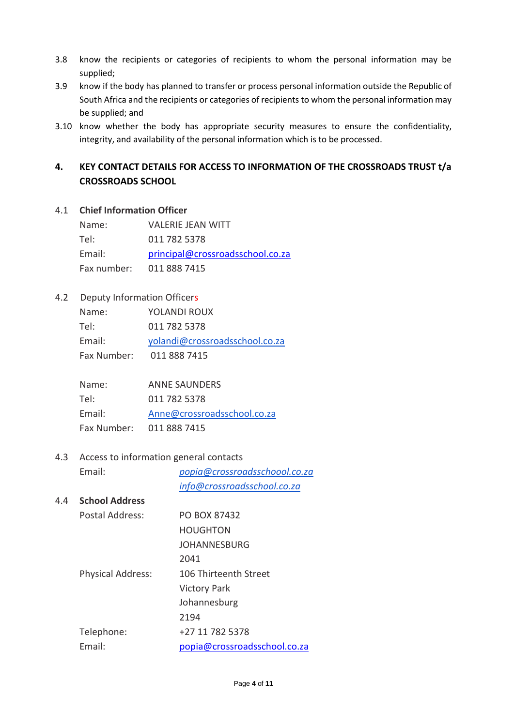- 3.8 know the recipients or categories of recipients to whom the personal information may be supplied;
- 3.9 know if the body has planned to transfer or process personal information outside the Republic of South Africa and the recipients or categories of recipients to whom the personal information may be supplied; and
- 3.10 know whether the body has appropriate security measures to ensure the confidentiality, integrity, and availability of the personal information which is to be processed.

## **4. KEY CONTACT DETAILS FOR ACCESS TO INFORMATION OF THE CROSSROADS TRUST t/a CROSSROADS SCHOOL**

#### 4.1 **Chief Information Officer**

| Name:       | <b>VALERIE JEAN WITT</b>         |
|-------------|----------------------------------|
| Tel:        | 011 782 5378                     |
| Email:      | principal@crossroadsschool.co.za |
| Fax number: | 011 888 7415                     |

#### 4.2 Deputy Information Officers

| Name:       | YOLANDI ROUX                   |
|-------------|--------------------------------|
| Tel:        | 011 782 5378                   |
| Email:      | yolandi@crossroadsschool.co.za |
| Fax Number: | 011 888 7415                   |

| Name:       | <b>ANNE SAUNDERS</b>        |
|-------------|-----------------------------|
| Tel:        | 011 782 5378                |
| Email:      | Anne@crossroadsschool.co.za |
| Fax Number: | 011 888 7415                |

#### 4.3 Access to information general contacts

Email: *popia@crossroadsschoool.co.za info@crossroadsschool.co.za*

#### 4.4 **School Address**

| Postal Address:          | PO BOX 87432                 |
|--------------------------|------------------------------|
|                          | <b>HOUGHTON</b>              |
|                          | JOHANNESBURG                 |
|                          | 2041                         |
| <b>Physical Address:</b> | 106 Thirteenth Street        |
|                          | <b>Victory Park</b>          |
|                          | Johannesburg                 |
|                          | 2194                         |
| Telephone:               | +27 11 782 5378              |
| Fmail:                   | popia@crossroadsschool.co.za |
|                          |                              |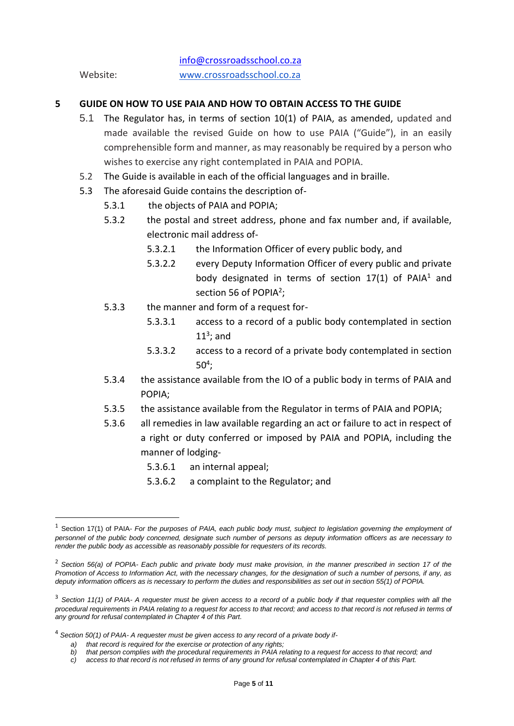info@crossroadsschool.co.za Website: www.crossroadsschool.co.za

#### **5 GUIDE ON HOW TO USE PAIA AND HOW TO OBTAIN ACCESS TO THE GUIDE**

- 5.1 The Regulator has, in terms of section 10(1) of PAIA, as amended, updated and made available the revised Guide on how to use PAIA ("Guide"), in an easily comprehensible form and manner, as may reasonably be required by a person who wishes to exercise any right contemplated in PAIA and POPIA.
- 5.2 The Guide is available in each of the official languages and in braille.
- 5.3 The aforesaid Guide contains the description of-
	- 5.3.1 the objects of PAIA and POPIA;
		- 5.3.2 the postal and street address, phone and fax number and, if available, electronic mail address of-
			- 5.3.2.1 the Information Officer of every public body, and
			- 5.3.2.2 every Deputy Information Officer of every public and private body designated in terms of section  $17(1)$  of PAIA<sup>1</sup> and section 56 of POPIA<sup>2</sup>;
	- 5.3.3 the manner and form of a request for-
		- 5.3.3.1 access to a record of a public body contemplated in section  $11<sup>3</sup>$ ; and
		- 5.3.3.2 access to a record of a private body contemplated in section  $50<sup>4</sup>$ ;
	- 5.3.4 the assistance available from the IO of a public body in terms of PAIA and POPIA;
	- 5.3.5 the assistance available from the Regulator in terms of PAIA and POPIA;
	- 5.3.6 all remedies in law available regarding an act or failure to act in respect of a right or duty conferred or imposed by PAIA and POPIA, including the manner of lodging-
		- 5.3.6.1 an internal appeal;
		- 5.3.6.2 a complaint to the Regulator; and

<sup>1</sup> Section 17(1) of PAIA- *For the purposes of PAIA, each public body must, subject to legislation governing the employment of personnel of the public body concerned, designate such number of persons as deputy information officers as are necessary to render the public body as accessible as reasonably possible for requesters of its records.* 

<sup>2</sup> *Section 56(a) of POPIA- Each public and private body must make provision, in the manner prescribed in section 17 of the Promotion of Access to Information Act, with the necessary changes, for the designation of such a number of persons, if any, as deputy information officers as is necessary to perform the duties and responsibilities as set out in section 55(1) of POPIA.*

<sup>3</sup> *Section 11(1) of PAIA- A requester must be given access to a record of a public body if that requester complies with all the*  procedural requirements in PAIA relating to a request for access to that record; and access to that record is not refused in terms of *any ground for refusal contemplated in Chapter 4 of this Part.*

<sup>4</sup> *Section 50(1) of PAIA- A requester must be given access to any record of a private body if-*

*a) that record is required for the exercise or protection of any rights;*

*b) that person complies with the procedural requirements in PAIA relating to a request for access to that record; and*

*c) access to that record is not refused in terms of any ground for refusal contemplated in Chapter 4 of this Part.*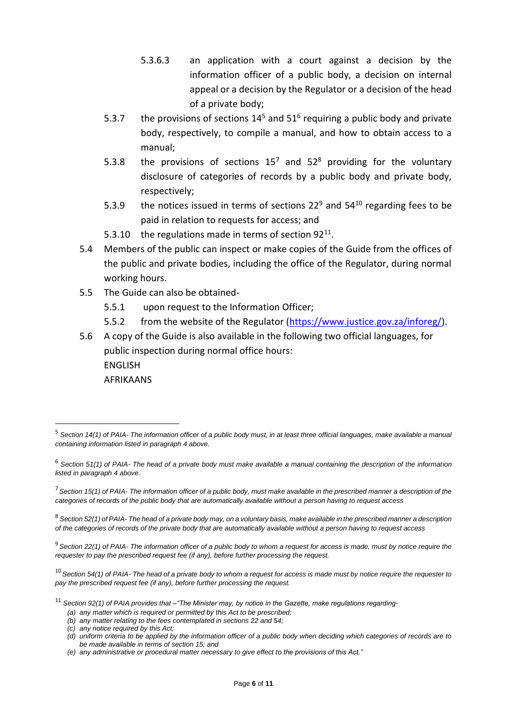- 5.3.6.3 an application with a court against a decision by the information officer of a public body, a decision on internal appeal or a decision by the Regulator or a decision of the head of a private body;
- 5.3.7 the provisions of sections  $14^5$  and  $51^6$  requiring a public body and private body, respectively, to compile a manual, and how to obtain access to a manual;
- 5.3.8 the provisions of sections  $15^7$  and  $52^8$  providing for the voluntary disclosure of categories of records by a public body and private body, respectively;
- 5.3.9 the notices issued in terms of sections 22 $9$  and 54 $10$  regarding fees to be paid in relation to requests for access; and
- 5.3.10 the regulations made in terms of section  $92^{11}$ .
- 5.4 Members of the public can inspect or make copies of the Guide from the offices of the public and private bodies, including the office of the Regulator, during normal working hours.
- 5.5 The Guide can also be obtained-
	- 5.5.1 upon request to the Information Officer;
	- 5.5.2 from the website of the Regulator (https://www.justice.gov.za/inforeg/).

5.6 A copy of the Guide is also available in the following two official languages, for public inspection during normal office hours: ENGLISH AFRIKAANS

<sup>8</sup> *Section 52(1) of PAIA- The head of a private body may, on a voluntary basis, make available in the prescribed manner a description of the categories of records of the private body that are automatically available without a person having to request access*

<sup>9</sup> *Section 22(1) of PAIA- The information officer of a public body to whom a request for access is made, must by notice require the requester to pay the prescribed request fee (if any), before further processing the request.*

<sup>10</sup> *Section 54(1) of PAIA- The head of a private body to whom a request for access is made must by notice require the requester to pay the prescribed request fee (if any), before further processing the request.*

<sup>11</sup> *Section 92(1) of PAIA provides that –"The Minister may, by notice in the Gazette, make regulations regarding-*

<sup>5</sup> *Section 14(1) of PAIA- The information officer of a public body must, in at least three official languages, make available a manual containing information listed in paragraph 4 above.*

<sup>6</sup> *Section 51(1) of PAIA- The head of a private body must make available a manual containing the description of the information listed in paragraph 4 above.*

<sup>7</sup>*Section 15(1) of PAIA- The information officer of a public body, must make available in the prescribed manner a description of the categories of records of the public body that are automatically available without a person having to request access*

*<sup>(</sup>a) any matter which is required or permitted by this Act to be prescribed;*

*<sup>(</sup>b) any matter relating to the fees contemplated in sections 22 and 54;*

*<sup>(</sup>c) any notice required by this Act;*

*<sup>(</sup>d) uniform criteria to be applied by the information officer of a public body when deciding which categories of records are to be made available in terms of section 15; and*

*<sup>(</sup>e) any administrative or procedural matter necessary to give effect to the provisions of this Act."*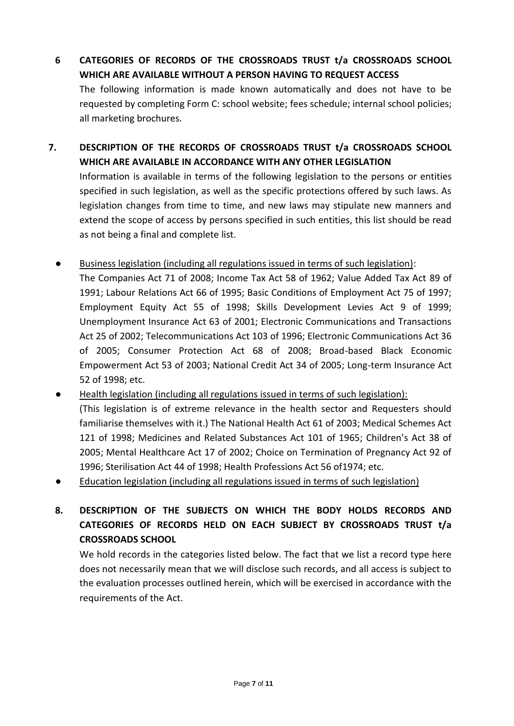- **6 CATEGORIES OF RECORDS OF THE CROSSROADS TRUST t/a CROSSROADS SCHOOL WHICH ARE AVAILABLE WITHOUT A PERSON HAVING TO REQUEST ACCESS** The following information is made known automatically and does not have to be requested by completing Form C: school website; fees schedule; internal school policies; all marketing brochures.
- **7. DESCRIPTION OF THE RECORDS OF CROSSROADS TRUST t/a CROSSROADS SCHOOL WHICH ARE AVAILABLE IN ACCORDANCE WITH ANY OTHER LEGISLATION**

Information is available in terms of the following legislation to the persons or entities specified in such legislation, as well as the specific protections offered by such laws. As legislation changes from time to time, and new laws may stipulate new manners and extend the scope of access by persons specified in such entities, this list should be read as not being a final and complete list.

- Business legislation (including all regulations issued in terms of such legislation): The Companies Act 71 of 2008; Income Tax Act 58 of 1962; Value Added Tax Act 89 of 1991; Labour Relations Act 66 of 1995; Basic Conditions of Employment Act 75 of 1997; Employment Equity Act 55 of 1998; Skills Development Levies Act 9 of 1999; Unemployment Insurance Act 63 of 2001; Electronic Communications and Transactions Act 25 of 2002; Telecommunications Act 103 of 1996; Electronic Communications Act 36 of 2005; Consumer Protection Act 68 of 2008; Broad-based Black Economic Empowerment Act 53 of 2003; National Credit Act 34 of 2005; Long-term Insurance Act 52 of 1998; etc.
- Health legislation (including all regulations issued in terms of such legislation): (This legislation is of extreme relevance in the health sector and Requesters should familiarise themselves with it.) The National Health Act 61 of 2003; Medical Schemes Act 121 of 1998; Medicines and Related Substances Act 101 of 1965; Children's Act 38 of 2005; Mental Healthcare Act 17 of 2002; Choice on Termination of Pregnancy Act 92 of 1996; Sterilisation Act 44 of 1998; Health Professions Act 56 of1974; etc.
- Education legislation (including all regulations issued in terms of such legislation)

**8. DESCRIPTION OF THE SUBJECTS ON WHICH THE BODY HOLDS RECORDS AND CATEGORIES OF RECORDS HELD ON EACH SUBJECT BY CROSSROADS TRUST t/a CROSSROADS SCHOOL**

We hold records in the categories listed below. The fact that we list a record type here does not necessarily mean that we will disclose such records, and all access is subject to the evaluation processes outlined herein, which will be exercised in accordance with the requirements of the Act.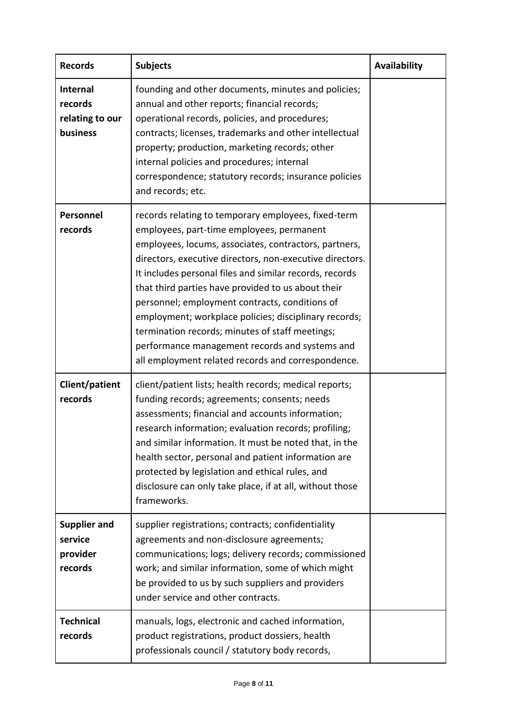| <b>Records</b>                                        | <b>Subjects</b>                                                                                                                                                                                                                                                                                                                                                                                                                                                                                                                                                                                              | Availability |
|-------------------------------------------------------|--------------------------------------------------------------------------------------------------------------------------------------------------------------------------------------------------------------------------------------------------------------------------------------------------------------------------------------------------------------------------------------------------------------------------------------------------------------------------------------------------------------------------------------------------------------------------------------------------------------|--------------|
| Internal<br>records<br>relating to our<br>business    | founding and other documents, minutes and policies;<br>annual and other reports; financial records;<br>operational records, policies, and procedures;<br>contracts; licenses, trademarks and other intellectual<br>property; production, marketing records; other<br>internal policies and procedures; internal<br>correspondence; statutory records; insurance policies<br>and records; etc.                                                                                                                                                                                                                |              |
| Personnel<br>records                                  | records relating to temporary employees, fixed-term<br>employees, part-time employees, permanent<br>employees, locums, associates, contractors, partners,<br>directors, executive directors, non-executive directors.<br>It includes personal files and similar records, records<br>that third parties have provided to us about their<br>personnel; employment contracts, conditions of<br>employment; workplace policies; disciplinary records;<br>termination records; minutes of staff meetings;<br>performance management records and systems and<br>all employment related records and correspondence. |              |
| Client/patient<br>records                             | client/patient lists; health records; medical reports;<br>funding records; agreements; consents; needs<br>assessments; financial and accounts information;<br>research information; evaluation records; profiling;<br>and similar information. It must be noted that, in the<br>health sector, personal and patient information are<br>protected by legislation and ethical rules, and<br>disclosure can only take place, if at all, without those<br>frameworks.                                                                                                                                            |              |
| <b>Supplier and</b><br>service<br>provider<br>records | supplier registrations; contracts; confidentiality<br>agreements and non-disclosure agreements;<br>communications; logs; delivery records; commissioned<br>work; and similar information, some of which might<br>be provided to us by such suppliers and providers<br>under service and other contracts.                                                                                                                                                                                                                                                                                                     |              |
| <b>Technical</b><br>records                           | manuals, logs, electronic and cached information,<br>product registrations, product dossiers, health<br>professionals council / statutory body records,                                                                                                                                                                                                                                                                                                                                                                                                                                                      |              |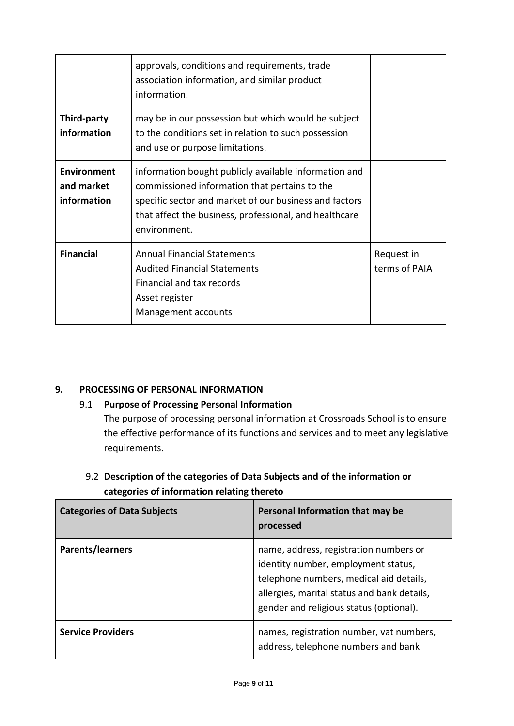|                                          | approvals, conditions and requirements, trade<br>association information, and similar product<br>information.                                                                                                                              |                             |
|------------------------------------------|--------------------------------------------------------------------------------------------------------------------------------------------------------------------------------------------------------------------------------------------|-----------------------------|
| Third-party<br>information               | may be in our possession but which would be subject<br>to the conditions set in relation to such possession<br>and use or purpose limitations.                                                                                             |                             |
| Environment<br>and market<br>information | information bought publicly available information and<br>commissioned information that pertains to the<br>specific sector and market of our business and factors<br>that affect the business, professional, and healthcare<br>environment. |                             |
| <b>Financial</b>                         | <b>Annual Financial Statements</b><br><b>Audited Financial Statements</b><br>Financial and tax records<br>Asset register<br>Management accounts                                                                                            | Request in<br>terms of PAIA |

## **9. PROCESSING OF PERSONAL INFORMATION**

## 9.1 **Purpose of Processing Personal Information**

The purpose of processing personal information at Crossroads School is to ensure the effective performance of its functions and services and to meet any legislative requirements.

## 9.2 **Description of the categories of Data Subjects and of the information or categories of information relating thereto**

| <b>Categories of Data Subjects</b> | Personal Information that may be<br>processed                                                                                                                                                                      |
|------------------------------------|--------------------------------------------------------------------------------------------------------------------------------------------------------------------------------------------------------------------|
| Parents/learners                   | name, address, registration numbers or<br>identity number, employment status,<br>telephone numbers, medical aid details,<br>allergies, marital status and bank details,<br>gender and religious status (optional). |
| <b>Service Providers</b>           | names, registration number, vat numbers,<br>address, telephone numbers and bank                                                                                                                                    |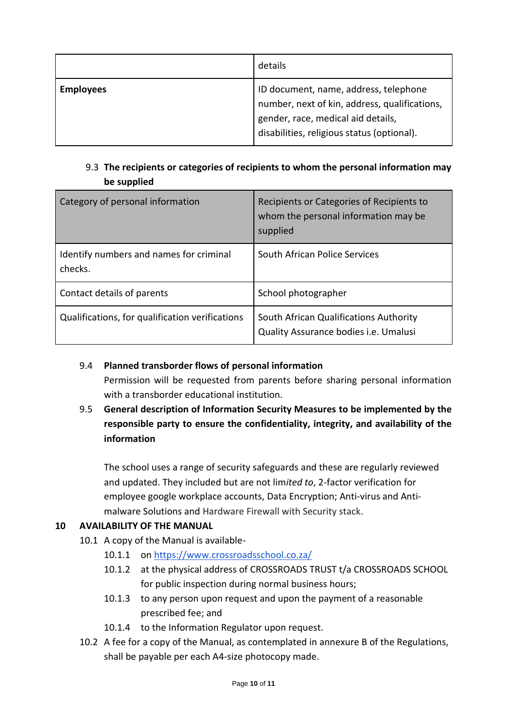|                  | details                                                                                                                                                                    |
|------------------|----------------------------------------------------------------------------------------------------------------------------------------------------------------------------|
| <b>Employees</b> | ID document, name, address, telephone<br>number, next of kin, address, qualifications,<br>gender, race, medical aid details,<br>disabilities, religious status (optional). |

## 9.3 **The recipients or categories of recipients to whom the personal information may be supplied**

| Category of personal information                   | Recipients or Categories of Recipients to<br>whom the personal information may be<br>supplied |
|----------------------------------------------------|-----------------------------------------------------------------------------------------------|
| Identify numbers and names for criminal<br>checks. | South African Police Services                                                                 |
| Contact details of parents                         | School photographer                                                                           |
| Qualifications, for qualification verifications    | South African Qualifications Authority<br>Quality Assurance bodies <i>i.e.</i> Umalusi        |

#### 9.4 **Planned transborder flows of personal information**

Permission will be requested from parents before sharing personal information with a transborder educational institution.

## 9.5 **General description of Information Security Measures to be implemented by the responsible party to ensure the confidentiality, integrity, and availability of the information**

The school uses a range of security safeguards and these are regularly reviewed and updated. They included but are not lim*ited to*, 2-factor verification for employee google workplace accounts, Data Encryption; Anti-virus and Antimalware Solutions and Hardware Firewall with Security stack.

## **10 AVAILABILITY OF THE MANUAL**

- 10.1 A copy of the Manual is available-
	- 10.1.1 on https://www.crossroadsschool.co.za/
	- 10.1.2 at the physical address of CROSSROADS TRUST t/a CROSSROADS SCHOOL for public inspection during normal business hours;
	- 10.1.3 to any person upon request and upon the payment of a reasonable prescribed fee; and
	- 10.1.4 to the Information Regulator upon request.
- 10.2 A fee for a copy of the Manual, as contemplated in annexure B of the Regulations, shall be payable per each A4-size photocopy made.